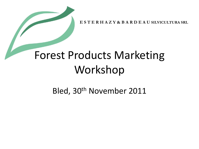**E S T E R H A Z Y & B A R D E A U SILVICULTURA SRL**

### Forest Products Marketing Workshop

Bled, 30th November 2011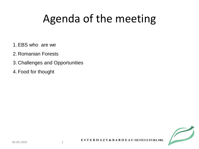## Agenda of the meeting

- 1. EBS who are we
- 2. Romanian Forests
- 3. Challenges and Opportunities
- 4. Food for thought

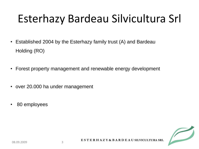## Esterhazy Bardeau Silvicultura Srl

- Established 2004 by the Esterhazy family trust (A) and Bardeau Holding (RO)
- Forest property management and renewable energy development
- over 20.000 ha under management
- 80 employees

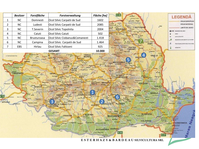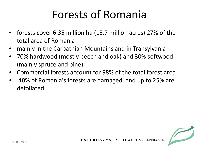#### Forests of Romania

- forests cover 6.35 million ha (15.7 million acres) 27% of the total area of Romania
- mainly in the Carpathian Mountains and in Transylvania
- 70% hardwood (mostly beech and oak) and 30% softwood (mainly spruce and pine)
- Commercial forests account for 98% of the total forest area
- 40% of Romania's forests are damaged, and up to 25% are defoliated.

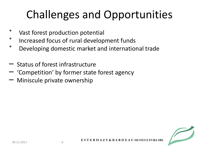## Challenges and Opportunities

- ⁺ Vast forest production potential
- <sup>+</sup> Increased focus of rural development funds
- <sup>+</sup> Developing domestic market and international trade
- Status of forest infrastructure
- 'Competition' by former state forest agency
- Miniscule private ownership